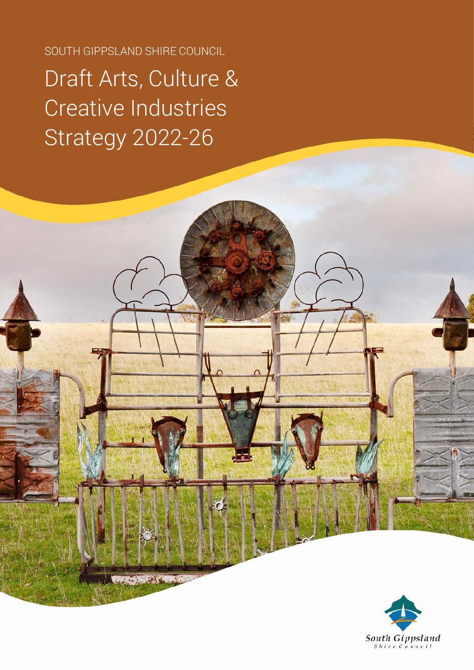SOUTH GIPPSLAND SHIRE COUNCIL

# Draft Arts, Culture & Creative Industries Strategy 2022-26

**British Control** 

South Gippsland  $s_{hire \text{Constant}}$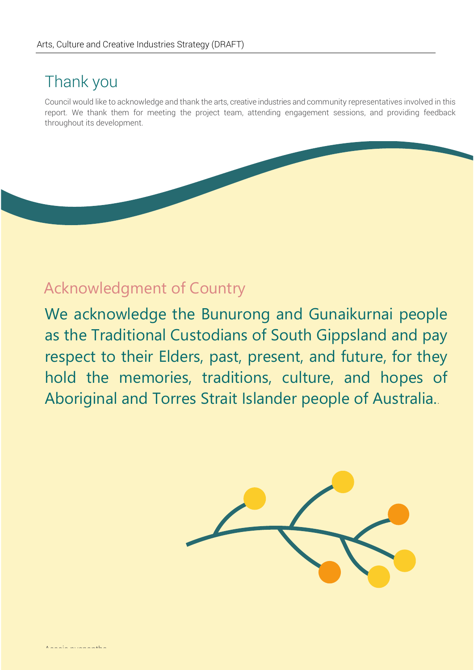### Thank you

Council would like to acknowledge and thank the arts, creative industries and community representatives involved in this report. We thank them for meeting the project team, attending engagement sessions, and providing feedback throughout its development.

### Acknowledgment of Country

We acknowledge the Bunurong and Gunaikurnai people as the Traditional Custodians of South Gippsland and pay respect to their Elders, past, present, and future, for they hold the memories, traditions, culture, and hopes of Aboriginal and Torres Strait Islander people of Australia..

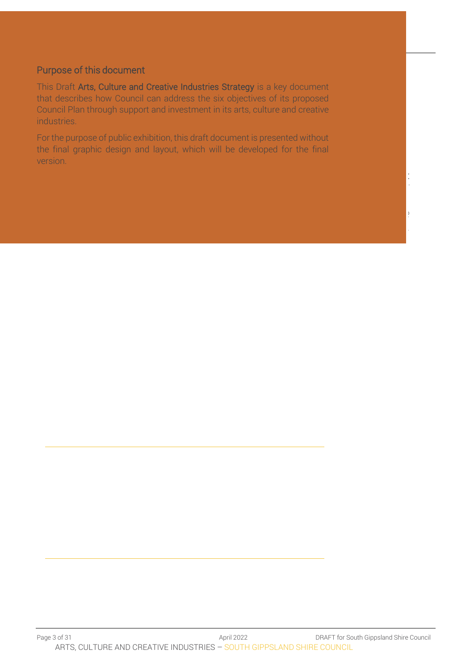#### Purpose of this document

This Draft Arts, Culture and Creative Industries Strategy is a key document that describes how Council can address the six objectives of its proposed Council Plan through support and investment in its arts, culture and creative industries.

For the purpose of public exhibition, this draft document is presented without the final graphic design and layout, which will be developed for the final version.

Main

Street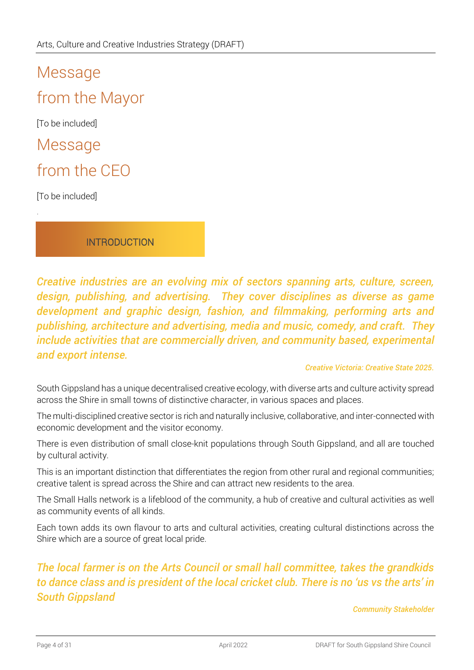# Message from the Mayor

[To be included]

Message

### from the CEO

[To be included]

.

**INTRODUCTION** 

*Creative industries are an evolving mix of sectors spanning arts, culture, screen, design, publishing, and advertising. They cover disciplines as diverse as game development and graphic design, fashion, and filmmaking, performing arts and publishing, architecture and advertising, media and music, comedy, and craft. They include activities that are commercially driven, and community based, experimental and export intense.*

#### *Creative Victoria: Creative State 2025.*

South Gippsland has a unique decentralised creative ecology, with diverse arts and culture activity spread across the Shire in small towns of distinctive character, in various spaces and places.

The multi-disciplined creative sector is rich and naturally inclusive, collaborative, and inter-connected with economic development and the visitor economy.

There is even distribution of small close-knit populations through South Gippsland, and all are touched by cultural activity.

This is an important distinction that differentiates the region from other rural and regional communities; creative talent is spread across the Shire and can attract new residents to the area.

The Small Halls network is a lifeblood of the community, a hub of creative and cultural activities as well as community events of all kinds.

Each town adds its own flavour to arts and cultural activities, creating cultural distinctions across the Shire which are a source of great local pride.

### *The local farmer is on the Arts Council or small hall committee, takes the grandkids to dance class and is president of the local cricket club. There is no 'us vs the arts' in South Gippsland*

*Community Stakeholder*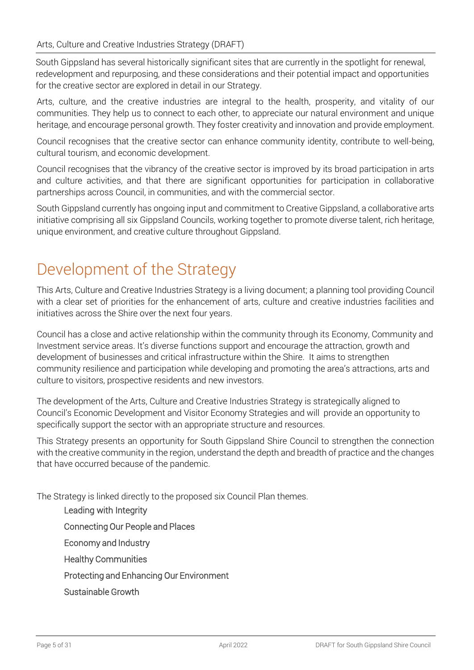South Gippsland has several historically significant sites that are currently in the spotlight for renewal, redevelopment and repurposing, and these considerations and their potential impact and opportunities for the creative sector are explored in detail in our Strategy.

Arts, culture, and the creative industries are integral to the health, prosperity, and vitality of our communities. They help us to connect to each other, to appreciate our natural environment and unique heritage, and encourage personal growth. They foster creativity and innovation and provide employment.

Council recognises that the creative sector can enhance community identity, contribute to well-being, cultural tourism, and economic development.

Council recognises that the vibrancy of the creative sector is improved by its broad participation in arts and culture activities, and that there are significant opportunities for participation in collaborative partnerships across Council, in communities, and with the commercial sector.

South Gippsland currently has ongoing input and commitment to Creative Gippsland, a collaborative arts initiative comprising all six Gippsland Councils, working together to promote diverse talent, rich heritage, unique environment, and creative culture throughout Gippsland.

# Development of the Strategy

This Arts, Culture and Creative Industries Strategy is a living document; a planning tool providing Council with a clear set of priorities for the enhancement of arts, culture and creative industries facilities and initiatives across the Shire over the next four years.

Council has a close and active relationship within the community through its Economy, Community and Investment service areas. It's diverse functions support and encourage the attraction, growth and development of businesses and critical infrastructure within the Shire. It aims to strengthen community resilience and participation while developing and promoting the area's attractions, arts and culture to visitors, prospective residents and new investors.

The development of the Arts, Culture and Creative Industries Strategy is strategically aligned to Council's Economic Development and Visitor Economy Strategies and will provide an opportunity to specifically support the sector with an appropriate structure and resources.

This Strategy presents an opportunity for South Gippsland Shire Council to strengthen the connection with the creative community in the region, understand the depth and breadth of practice and the changes that have occurred because of the pandemic.

The Strategy is linked directly to the proposed six Council Plan themes.

Leading with Integrity Connecting Our People and Places Economy and Industry Healthy Communities Protecting and Enhancing Our Environment Sustainable Growth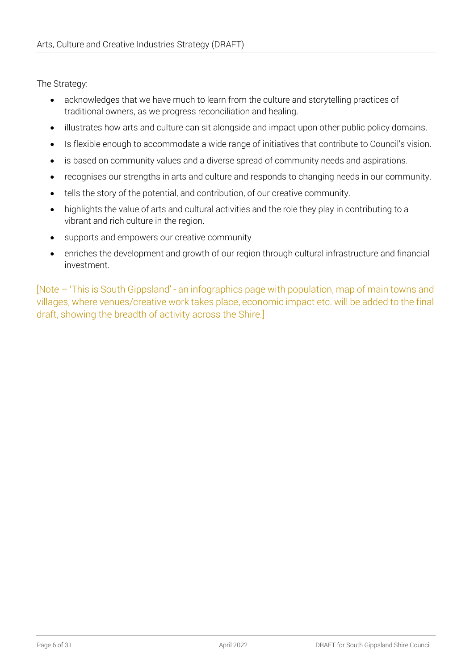The Strategy:

- acknowledges that we have much to learn from the culture and storytelling practices of traditional owners, as we progress reconciliation and healing.
- illustrates how arts and culture can sit alongside and impact upon other public policy domains.
- Is flexible enough to accommodate a wide range of initiatives that contribute to Council's vision.
- is based on community values and a diverse spread of community needs and aspirations.
- recognises our strengths in arts and culture and responds to changing needs in our community.
- tells the story of the potential, and contribution, of our creative community.
- highlights the value of arts and cultural activities and the role they play in contributing to a vibrant and rich culture in the region.
- supports and empowers our creative community
- enriches the development and growth of our region through cultural infrastructure and financial investment.

[Note – 'This is South Gippsland' - an infographics page with population, map of main towns and villages, where venues/creative work takes place, economic impact etc. will be added to the final draft, showing the breadth of activity across the Shire.]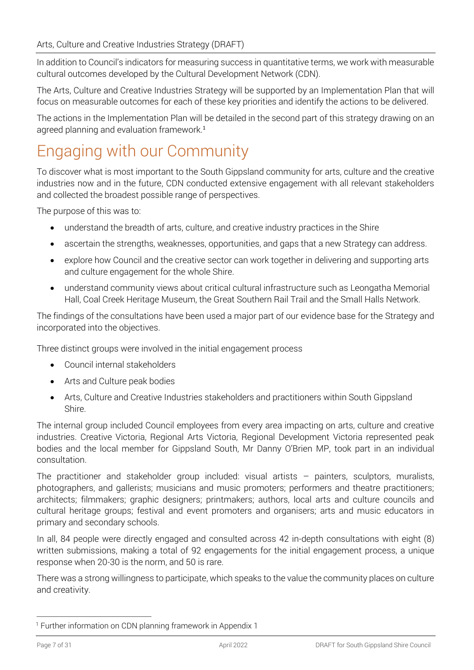In addition to Council's indicators for measuring success in quantitative terms, we work with measurable cultural outcomes developed by the Cultural Development Network (CDN).

The Arts, Culture and Creative Industries Strategy will be supported by an Implementation Plan that will focus on measurable outcomes for each of these key priorities and identify the actions to be delivered.

The actions in the Implementation Plan will be detailed in the second part of this strategy drawing on an agreed planning and evaluation framework. 1

# Engaging with our Community

To discover what is most important to the South Gippsland community for arts, culture and the creative industries now and in the future, CDN conducted extensive engagement with all relevant stakeholders and collected the broadest possible range of perspectives.

The purpose of this was to:

- understand the breadth of arts, culture, and creative industry practices in the Shire
- ascertain the strengths, weaknesses, opportunities, and gaps that a new Strategy can address.
- explore how Council and the creative sector can work together in delivering and supporting arts and culture engagement for the whole Shire.
- understand community views about critical cultural infrastructure such as Leongatha Memorial Hall, Coal Creek Heritage Museum, the Great Southern Rail Trail and the Small Halls Network.

The findings of the consultations have been used a major part of our evidence base for the Strategy and incorporated into the objectives.

Three distinct groups were involved in the initial engagement process

- Council internal stakeholders
- Arts and Culture peak bodies
- Arts, Culture and Creative Industries stakeholders and practitioners within South Gippsland Shire.

The internal group included Council employees from every area impacting on arts, culture and creative industries. Creative Victoria, Regional Arts Victoria, Regional Development Victoria represented peak bodies and the local member for Gippsland South, Mr Danny O'Brien MP, took part in an individual consultation.

The practitioner and stakeholder group included: visual artists – painters, sculptors, muralists, photographers, and gallerists; musicians and music promoters; performers and theatre practitioners; architects; filmmakers; graphic designers; printmakers; authors, local arts and culture councils and cultural heritage groups; festival and event promoters and organisers; arts and music educators in primary and secondary schools.

In all, 84 people were directly engaged and consulted across 42 in-depth consultations with eight (8) written submissions, making a total of 92 engagements for the initial engagement process, a unique response when 20-30 is the norm, and 50 is rare.

There was a strong willingness to participate, which speaks to the value the community places on culture and creativity.

<sup>&</sup>lt;sup>1</sup> Further information on CDN planning framework in Appendix 1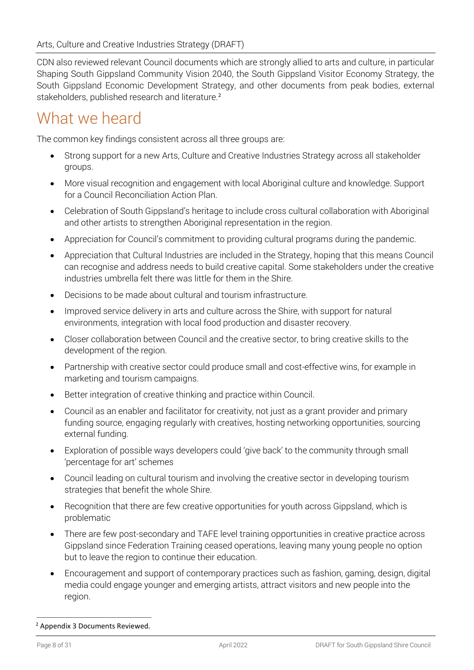CDN also reviewed relevant Council documents which are strongly allied to arts and culture, in particular Shaping South Gippsland Community Vision 2040, the South Gippsland Visitor Economy Strategy, the South Gippsland Economic Development Strategy, and other documents from peak bodies, external stakeholders, published research and literature.<sup>2</sup>

## What we heard

The common key findings consistent across all three groups are:

- Strong support for a new Arts, Culture and Creative Industries Strategy across all stakeholder groups.
- More visual recognition and engagement with local Aboriginal culture and knowledge. Support for a Council Reconciliation Action Plan.
- Celebration of South Gippsland's heritage to include cross cultural collaboration with Aboriginal and other artists to strengthen Aboriginal representation in the region.
- Appreciation for Council's commitment to providing cultural programs during the pandemic.
- Appreciation that Cultural Industries are included in the Strategy, hoping that this means Council can recognise and address needs to build creative capital. Some stakeholders under the creative industries umbrella felt there was little for them in the Shire.
- Decisions to be made about cultural and tourism infrastructure.
- Improved service delivery in arts and culture across the Shire, with support for natural environments, integration with local food production and disaster recovery.
- Closer collaboration between Council and the creative sector, to bring creative skills to the development of the region.
- Partnership with creative sector could produce small and cost-effective wins, for example in marketing and tourism campaigns.
- Better integration of creative thinking and practice within Council.
- Council as an enabler and facilitator for creativity, not just as a grant provider and primary funding source, engaging regularly with creatives, hosting networking opportunities, sourcing external funding.
- Exploration of possible ways developers could 'give back' to the community through small 'percentage for art' schemes
- Council leading on cultural tourism and involving the creative sector in developing tourism strategies that benefit the whole Shire.
- Recognition that there are few creative opportunities for youth across Gippsland, which is problematic
- There are few post-secondary and TAFE level training opportunities in creative practice across Gippsland since Federation Training ceased operations, leaving many young people no option but to leave the region to continue their education.
- Encouragement and support of contemporary practices such as fashion, gaming, design, digital media could engage younger and emerging artists, attract visitors and new people into the region.

<sup>2</sup> Appendix 3 Documents Reviewed.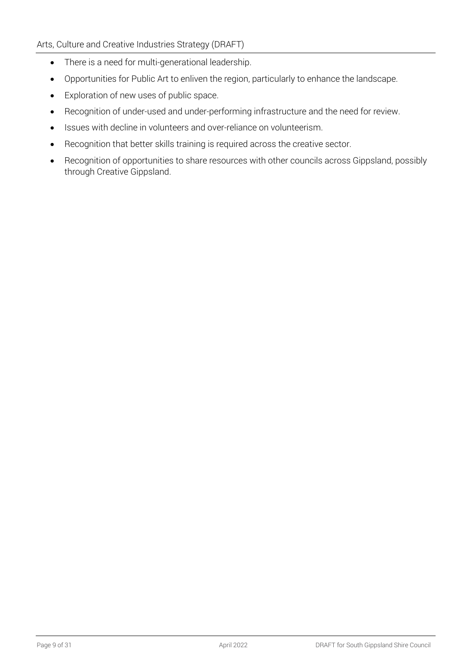- There is a need for multi-generational leadership.
- Opportunities for Public Art to enliven the region, particularly to enhance the landscape.
- Exploration of new uses of public space.
- Recognition of under-used and under-performing infrastructure and the need for review.
- Issues with decline in volunteers and over-reliance on volunteerism.
- Recognition that better skills training is required across the creative sector.
- Recognition of opportunities to share resources with other councils across Gippsland, possibly through Creative Gippsland.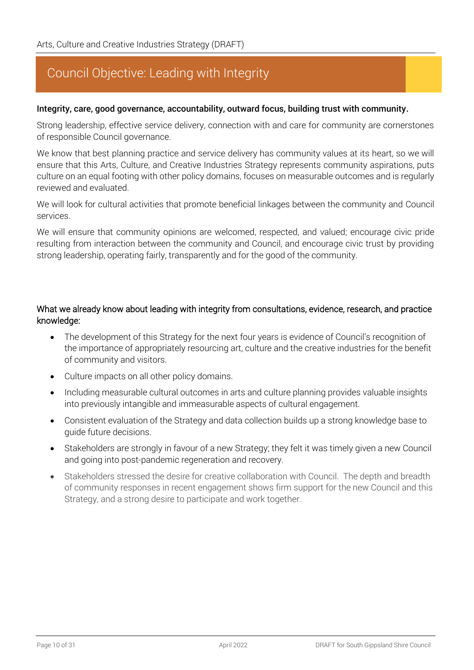### Council Objective: Leading with Integrity

#### Integrity, care, good governance, accountability, outward focus, building trust with community.

Strong leadership, effective service delivery, connection with and care for community are cornerstones of responsible Council governance.

We know that best planning practice and service delivery has community values at its heart, so we will ensure that this Arts, Culture, and Creative Industries Strategy represents community aspirations, puts culture on an equal footing with other policy domains, focuses on measurable outcomes and is regularly reviewed and evaluated.

We will look for cultural activities that promote beneficial linkages between the community and Council services.

We will ensure that community opinions are welcomed, respected, and valued; encourage civic pride resulting from interaction between the community and Council, and encourage civic trust by providing strong leadership, operating fairly, transparently and for the good of the community.

#### What we already know about leading with integrity from consultations, evidence, research, and practice knowledge:

- The development of this Strategy for the next four years is evidence of Council's recognition of the importance of appropriately resourcing art, culture and the creative industries for the benefit of community and visitors.
- Culture impacts on all other policy domains.
- Including measurable cultural outcomes in arts and culture planning provides valuable insights into previously intangible and immeasurable aspects of cultural engagement.
- Consistent evaluation of the Strategy and data collection builds up a strong knowledge base to guide future decisions.
- Stakeholders are strongly in favour of a new Strategy; they felt it was timely given a new Council and going into post-pandemic regeneration and recovery.
- Stakeholders stressed the desire for creative collaboration with Council. The depth and breadth of community responses in recent engagement shows firm support for the new Council and this Strategy, and a strong desire to participate and work together.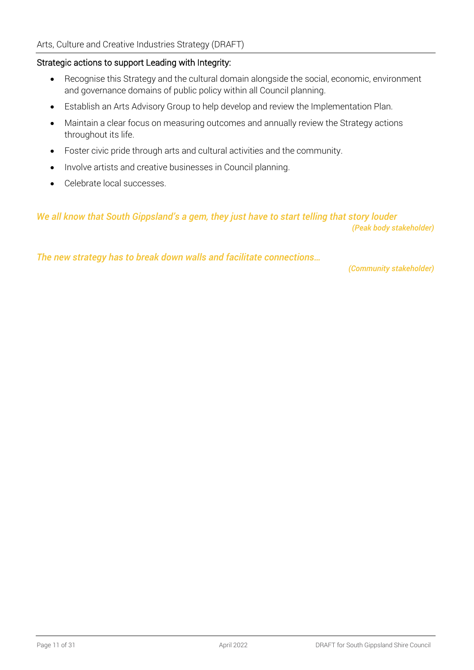#### Strategic actions to support Leading with Integrity:

- Recognise this Strategy and the cultural domain alongside the social, economic, environment and governance domains of public policy within all Council planning.
- Establish an Arts Advisory Group to help develop and review the Implementation Plan.
- Maintain a clear focus on measuring outcomes and annually review the Strategy actions throughout its life.
- Foster civic pride through arts and cultural activities and the community.
- Involve artists and creative businesses in Council planning.
- Celebrate local successes.

#### *We all know that South Gippsland's a gem, they just have to start telling that story louder (Peak body stakeholder)*

*The new strategy has to break down walls and facilitate connections…*

*(Community stakeholder)*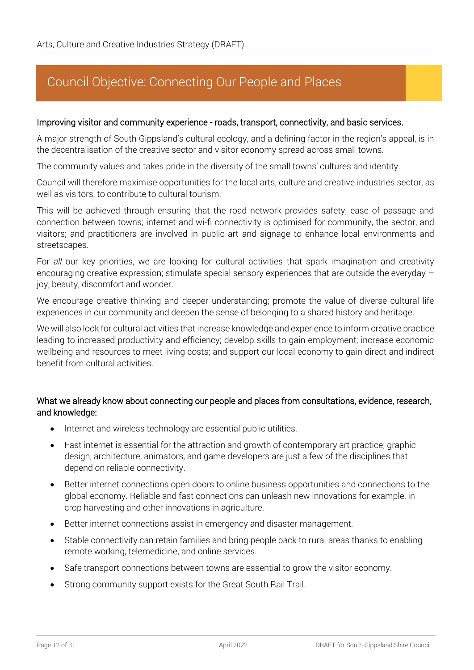### Council Objective: Connecting Our People and Places

#### Improving visitor and community experience - roads, transport, connectivity, and basic services.

A major strength of South Gippsland's cultural ecology, and a defining factor in the region's appeal, is in the decentralisation of the creative sector and visitor economy spread across small towns.

The community values and takes pride in the diversity of the small towns' cultures and identity.

Council will therefore maximise opportunities for the local arts, culture and creative industries sector, as well as visitors, to contribute to cultural tourism.

This will be achieved through ensuring that the road network provides safety, ease of passage and connection between towns; internet and wi-fi connectivity is optimised for community, the sector, and visitors; and practitioners are involved in public art and signage to enhance local environments and streetscapes.

For *all* our key priorities, we are looking for cultural activities that spark imagination and creativity encouraging creative expression; stimulate special sensory experiences that are outside the everyday – joy, beauty, discomfort and wonder.

We encourage creative thinking and deeper understanding; promote the value of diverse cultural life experiences in our community and deepen the sense of belonging to a shared history and heritage.

We will also look for cultural activities that increase knowledge and experience to inform creative practice leading to increased productivity and efficiency; develop skills to gain employment; increase economic wellbeing and resources to meet living costs; and support our local economy to gain direct and indirect benefit from cultural activities.

#### What we already know about connecting our people and places from consultations, evidence, research, and knowledge:

- Internet and wireless technology are essential public utilities.
- Fast internet is essential for the attraction and growth of contemporary art practice; graphic design, architecture, animators, and game developers are just a few of the disciplines that depend on reliable connectivity.
- Better internet connections open doors to online business opportunities and connections to the global economy. Reliable and fast connections can unleash new innovations for example, in crop harvesting and other innovations in agriculture.
- Better internet connections assist in emergency and disaster management.
- Stable connectivity can retain families and bring people back to rural areas thanks to enabling remote working, telemedicine, and online services.
- Safe transport connections between towns are essential to grow the visitor economy.
- Strong community support exists for the Great South Rail Trail.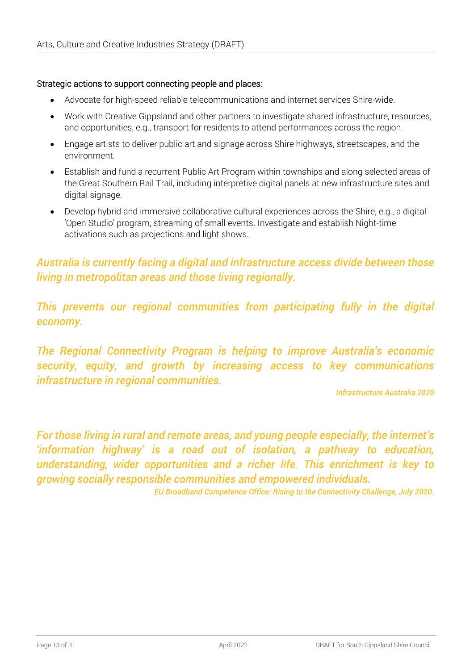#### Strategic actions to support connecting people and places:

- Advocate for high-speed reliable telecommunications and internet services Shire-wide.
- Work with Creative Gippsland and other partners to investigate shared infrastructure, resources, and opportunities, e.g., transport for residents to attend performances across the region.
- Engage artists to deliver public art and signage across Shire highways, streetscapes, and the environment.
- Establish and fund a recurrent Public Art Program within townships and along selected areas of the Great Southern Rail Trail, including interpretive digital panels at new infrastructure sites and digital signage.
- Develop hybrid and immersive collaborative cultural experiences across the Shire, e.g., a digital 'Open Studio' program, streaming of small events. Investigate and establish Night-time activations such as projections and light shows.

### *Australia is currently facing a digital and infrastructure access divide between those living in metropolitan areas and those living regionally.*

*This prevents our regional communities from participating fully in the digital economy.* 

*The Regional Connectivity Program is helping to improve Australia's economic security, equity, and growth by increasing access to key communications infrastructure in regional communities.*

*Infrastructure Australia 2020*

*For those living in rural and remote areas, and young people especially, the internet's 'information highway' is a road out of isolation, a pathway to education, understanding, wider opportunities and a richer life. This enrichment is key to growing socially responsible communities and empowered individuals.*

*EU Broadband Competence Office: Rising to the Connectivity Challenge, July 2020.*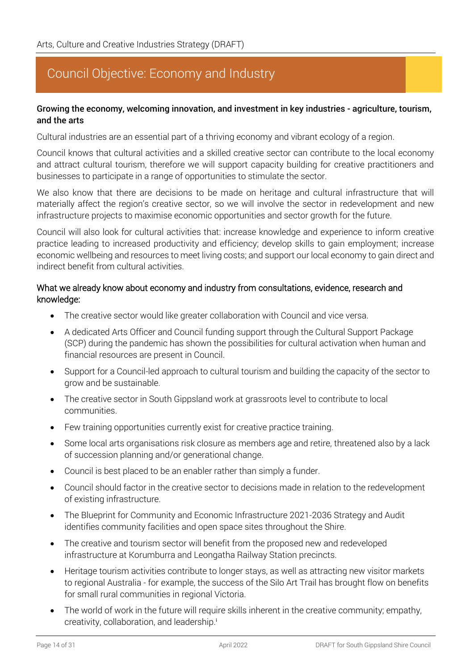### Council Objective: Economy and Industry

#### Growing the economy, welcoming innovation, and investment in key industries - agriculture, tourism, and the arts

Cultural industries are an essential part of a thriving economy and vibrant ecology of a region.

Council knows that cultural activities and a skilled creative sector can contribute to the local economy and attract cultural tourism, therefore we will support capacity building for creative practitioners and businesses to participate in a range of opportunities to stimulate the sector.

We also know that there are decisions to be made on heritage and cultural infrastructure that will materially affect the region's creative sector, so we will involve the sector in redevelopment and new infrastructure projects to maximise economic opportunities and sector growth for the future.

Council will also look for cultural activities that: increase knowledge and experience to inform creative practice leading to increased productivity and efficiency; develop skills to gain employment; increase economic wellbeing and resources to meet living costs; and support our local economy to gain direct and indirect benefit from cultural activities.

#### What we already know about economy and industry from consultations, evidence, research and knowledge:

- The creative sector would like greater collaboration with Council and vice versa.
- A dedicated Arts Officer and Council funding support through the Cultural Support Package (SCP) during the pandemic has shown the possibilities for cultural activation when human and financial resources are present in Council.
- Support for a Council-led approach to cultural tourism and building the capacity of the sector to grow and be sustainable.
- The creative sector in South Gippsland work at grassroots level to contribute to local communities.
- Few training opportunities currently exist for creative practice training.
- Some local arts organisations risk closure as members age and retire, threatened also by a lack of succession planning and/or generational change.
- Council is best placed to be an enabler rather than simply a funder.
- Council should factor in the creative sector to decisions made in relation to the redevelopment of existing infrastructure.
- The Blueprint for Community and Economic Infrastructure 2021-2036 Strategy and Audit identifies community facilities and open space sites throughout the Shire.
- The creative and tourism sector will benefit from the proposed new and redeveloped infrastructure at Korumburra and Leongatha Railway Station precincts.
- Heritage tourism activities contribute to longer stays, as well as attracting new visitor markets to regional Australia - for example, the success of the Silo Art Trail has brought flow on benefits for small rural communities in regional Victoria.
- The world of work in the future will require skills inherent in the creative community; empathy, creativity, collaboration, and leadership.<sup>i</sup>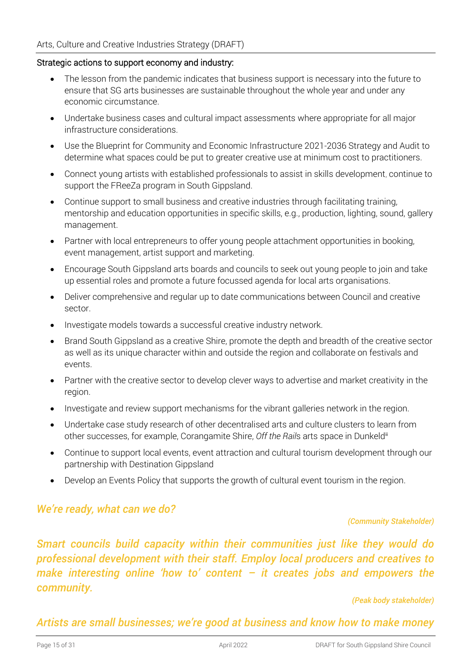#### Strategic actions to support economy and industry:

- The lesson from the pandemic indicates that business support is necessary into the future to ensure that SG arts businesses are sustainable throughout the whole year and under any economic circumstance.
- Undertake business cases and cultural impact assessments where appropriate for all major infrastructure considerations.
- Use the Blueprint for Community and Economic Infrastructure 2021-2036 Strategy and Audit to determine what spaces could be put to greater creative use at minimum cost to practitioners.
- Connect young artists with established professionals to assist in skills development, continue to support the FReeZa program in South Gippsland.
- Continue support to small business and creative industries through facilitating training, mentorship and education opportunities in specific skills, e.g., production, lighting, sound, gallery management.
- Partner with local entrepreneurs to offer young people attachment opportunities in booking, event management, artist support and marketing.
- Encourage South Gippsland arts boards and councils to seek out young people to join and take up essential roles and promote a future focussed agenda for local arts organisations.
- Deliver comprehensive and regular up to date communications between Council and creative sector.
- Investigate models towards a successful creative industry network.
- Brand South Gippsland as a creative Shire, promote the depth and breadth of the creative sector as well as its unique character within and outside the region and collaborate on festivals and events.
- Partner with the creative sector to develop clever ways to advertise and market creativity in the region.
- Investigate and review support mechanisms for the vibrant galleries network in the region.
- Undertake case study research of other decentralised arts and culture clusters to learn from other successes, for example, Corangamite Shire, *Off the Rail*s arts space in Dunkeldii
- Continue to support local events, event attraction and cultural tourism development through our partnership with Destination Gippsland
- Develop an Events Policy that supports the growth of cultural event tourism in the region.

#### *We're ready, what can we do?*

#### *(Community Stakeholder)*

*Smart councils build capacity within their communities just like they would do professional development with their staff. Employ local producers and creatives to make interesting online 'how to' content – it creates jobs and empowers the community.*

*(Peak body stakeholder)*

*Artists are small businesses; we're good at business and know how to make money*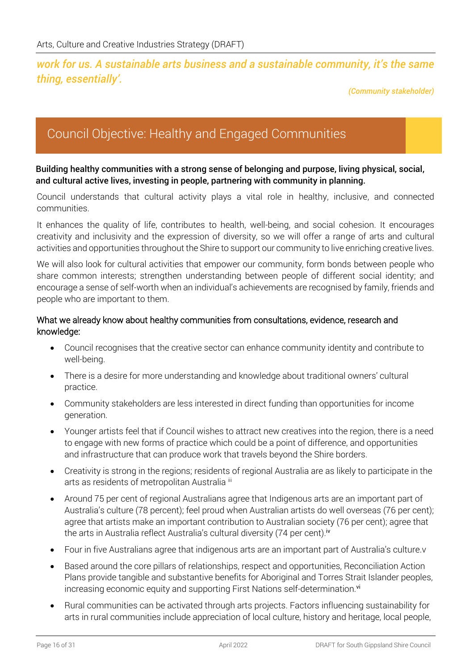#### *work for us. A sustainable arts business and a sustainable community, it's the same thing, essentially'.*

*(Community stakeholder)*

### Council Objective: Healthy and Engaged Communities

#### Building healthy communities with a strong sense of belonging and purpose, living physical, social, and cultural active lives, investing in people, partnering with community in planning.

Council understands that cultural activity plays a vital role in healthy, inclusive, and connected communities.

It enhances the quality of life, contributes to health, well-being, and social cohesion. It encourages creativity and inclusivity and the expression of diversity, so we will offer a range of arts and cultural activities and opportunities throughout the Shire to support our community to live enriching creative lives.

We will also look for cultural activities that empower our community, form bonds between people who share common interests; strengthen understanding between people of different social identity; and encourage a sense of self-worth when an individual's achievements are recognised by family, friends and people who are important to them.

#### What we already know about healthy communities from consultations, evidence, research and knowledge:

- Council recognises that the creative sector can enhance community identity and contribute to well-being.
- There is a desire for more understanding and knowledge about traditional owners' cultural practice.
- Community stakeholders are less interested in direct funding than opportunities for income generation.
- Younger artists feel that if Council wishes to attract new creatives into the region, there is a need to engage with new forms of practice which could be a point of difference, and opportunities and infrastructure that can produce work that travels beyond the Shire borders.
- Creativity is strong in the regions; residents of regional Australia are as likely to participate in the arts as residents of metropolitan Australia iii
- Around 75 per cent of regional Australians agree that Indigenous arts are an important part of Australia's culture (78 percent); feel proud when Australian artists do well overseas (76 per cent); agree that artists make an important contribution to Australian society (76 per cent); agree that the arts in Australia reflect Australia's cultural diversity (74 per cent).<sup>iv</sup>
- Four in five Australians agree that indigenous arts are an important part of Australia's culture.v
- Based around the core pillars of relationships, respect and opportunities, Reconciliation Action Plans provide tangible and substantive benefits for Aboriginal and Torres Strait Islander peoples, increasing economic equity and supporting First Nations self-determination.<sup>vi</sup>
- Rural communities can be activated through arts projects. Factors influencing sustainability for arts in rural communities include appreciation of local culture, history and heritage, local people,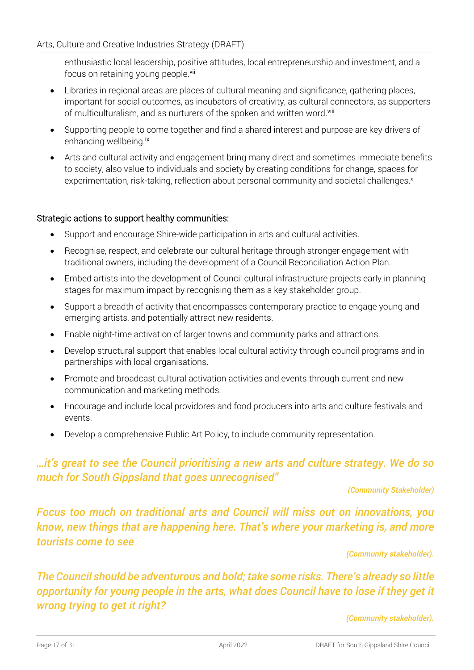enthusiastic local leadership, positive attitudes, local entrepreneurship and investment, and a focus on retaining young people.<sup>vii</sup>

- Libraries in regional areas are places of cultural meaning and significance, gathering places, important for social outcomes, as incubators of creativity, as cultural connectors, as supporters of multiculturalism, and as nurturers of the spoken and written word.<sup>viii</sup>
- Supporting people to come together and find a shared interest and purpose are key drivers of enhancing wellbeing.<sup>ix</sup>
- Arts and cultural activity and engagement bring many direct and sometimes immediate benefits to society, also value to individuals and society by creating conditions for change, spaces for experimentation, risk-taking, reflection about personal community and societal challenges.<sup>x</sup>

#### Strategic actions to support healthy communities:

- Support and encourage Shire-wide participation in arts and cultural activities.
- Recognise, respect, and celebrate our cultural heritage through stronger engagement with traditional owners, including the development of a Council Reconciliation Action Plan.
- Embed artists into the development of Council cultural infrastructure projects early in planning stages for maximum impact by recognising them as a key stakeholder group.
- Support a breadth of activity that encompasses contemporary practice to engage young and emerging artists, and potentially attract new residents.
- Enable night-time activation of larger towns and community parks and attractions.
- Develop structural support that enables local cultural activity through council programs and in partnerships with local organisations.
- Promote and broadcast cultural activation activities and events through current and new communication and marketing methods.
- Encourage and include local providores and food producers into arts and culture festivals and events.
- Develop a comprehensive Public Art Policy, to include community representation.

### *…it's great to see the Council prioritising a new arts and culture strategy. We do so much for South Gippsland that goes unrecognised"*

#### *(Community Stakeholder)*

*Focus too much on traditional arts and Council will miss out on innovations, you know, new things that are happening here. That's where your marketing is, and more tourists come to see*

*(Community stakeholder).* 

*The Council should be adventurous and bold; take some risks. There's already so little opportunity for young people in the arts, what does Council have to lose if they get it wrong trying to get it right?*

*(Community stakeholder).*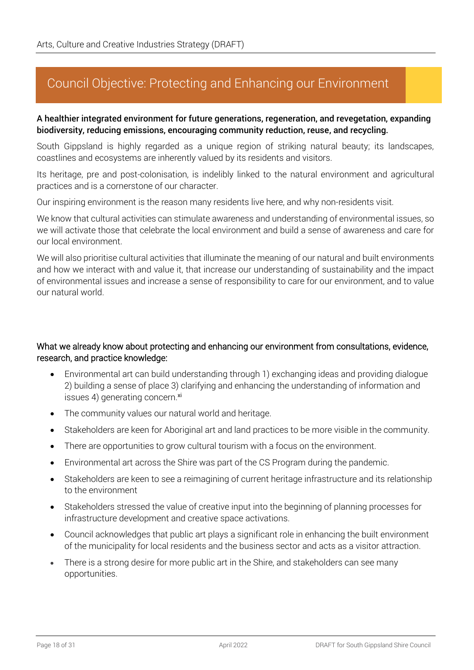### Council Objective: Protecting and Enhancing our Environment

#### A healthier integrated environment for future generations, regeneration, and revegetation, expanding biodiversity, reducing emissions, encouraging community reduction, reuse, and recycling.

South Gippsland is highly regarded as a unique region of striking natural beauty; its landscapes, coastlines and ecosystems are inherently valued by its residents and visitors.

Its heritage, pre and post-colonisation, is indelibly linked to the natural environment and agricultural practices and is a cornerstone of our character.

Our inspiring environment is the reason many residents live here, and why non-residents visit.

We know that cultural activities can stimulate awareness and understanding of environmental issues, so we will activate those that celebrate the local environment and build a sense of awareness and care for our local environment.

We will also prioritise cultural activities that illuminate the meaning of our natural and built environments and how we interact with and value it, that increase our understanding of sustainability and the impact of environmental issues and increase a sense of responsibility to care for our environment, and to value our natural world.

#### What we already know about protecting and enhancing our environment from consultations, evidence, research, and practice knowledge:

- Environmental art can build understanding through 1) exchanging ideas and providing dialogue 2) building a sense of place 3) clarifying and enhancing the understanding of information and issues 4) generating concern.xi
- The community values our natural world and heritage.
- Stakeholders are keen for Aboriginal art and land practices to be more visible in the community.
- There are opportunities to grow cultural tourism with a focus on the environment.
- Environmental art across the Shire was part of the CS Program during the pandemic.
- Stakeholders are keen to see a reimagining of current heritage infrastructure and its relationship to the environment
- Stakeholders stressed the value of creative input into the beginning of planning processes for infrastructure development and creative space activations.
- Council acknowledges that public art plays a significant role in enhancing the built environment of the municipality for local residents and the business sector and acts as a visitor attraction.
- There is a strong desire for more public art in the Shire, and stakeholders can see many opportunities.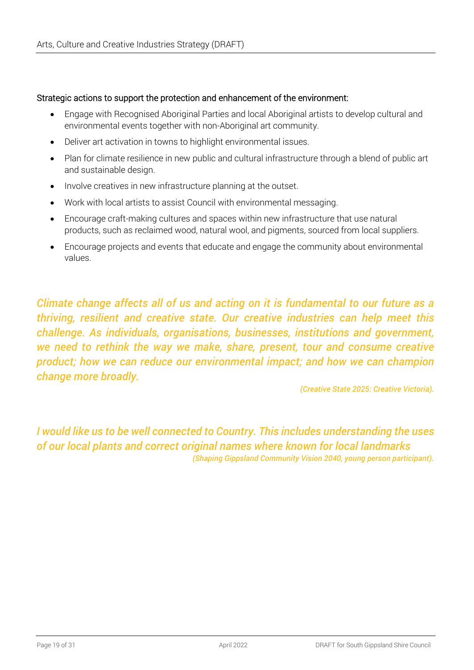#### Strategic actions to support the protection and enhancement of the environment:

- Engage with Recognised Aboriginal Parties and local Aboriginal artists to develop cultural and environmental events together with non-Aboriginal art community.
- Deliver art activation in towns to highlight environmental issues.
- Plan for climate resilience in new public and cultural infrastructure through a blend of public art and sustainable design.
- Involve creatives in new infrastructure planning at the outset.
- Work with local artists to assist Council with environmental messaging.
- Encourage craft-making cultures and spaces within new infrastructure that use natural products, such as reclaimed wood, natural wool, and pigments, sourced from local suppliers.
- Encourage projects and events that educate and engage the community about environmental values.

*Climate change affects all of us and acting on it is fundamental to our future as a thriving, resilient and creative state. Our creative industries can help meet this challenge. As individuals, organisations, businesses, institutions and government, we need to rethink the way we make, share, present, tour and consume creative product; how we can reduce our environmental impact; and how we can champion change more broadly.*

*(Creative State 2025: Creative Victoria).* 

*I would like us to be well connected to Country. This includes understanding the uses of our local plants and correct original names where known for local landmarks (Shaping Gippsland Community Vision 2040, young person participant).*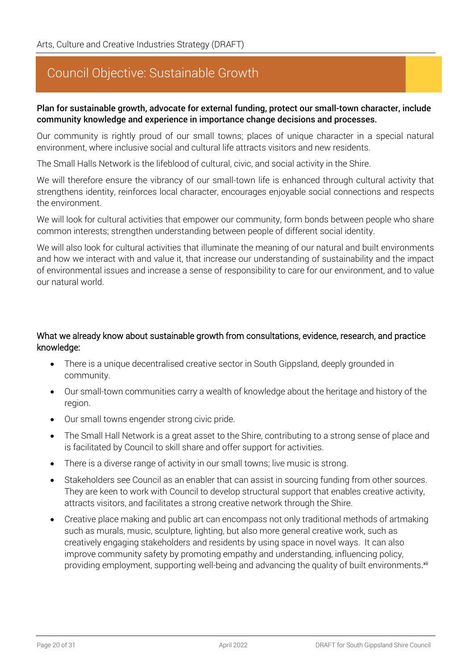### Council Objective: Sustainable Growth

#### Plan for sustainable growth, advocate for external funding, protect our small-town character, include community knowledge and experience in importance change decisions and processes.

Our community is rightly proud of our small towns; places of unique character in a special natural environment, where inclusive social and cultural life attracts visitors and new residents.

The Small Halls Network is the lifeblood of cultural, civic, and social activity in the Shire.

We will therefore ensure the vibrancy of our small-town life is enhanced through cultural activity that strengthens identity, reinforces local character, encourages enjoyable social connections and respects the environment.

We will look for cultural activities that empower our community, form bonds between people who share common interests; strengthen understanding between people of different social identity.

We will also look for cultural activities that illuminate the meaning of our natural and built environments and how we interact with and value it, that increase our understanding of sustainability and the impact of environmental issues and increase a sense of responsibility to care for our environment, and to value our natural world.

#### What we already know about sustainable growth from consultations, evidence, research, and practice knowledge:

- There is a unique decentralised creative sector in South Gippsland, deeply grounded in community.
- Our small-town communities carry a wealth of knowledge about the heritage and history of the region.
- Our small towns engender strong civic pride.
- The Small Hall Network is a great asset to the Shire, contributing to a strong sense of place and is facilitated by Council to skill share and offer support for activities.
- There is a diverse range of activity in our small towns; live music is strong.
- Stakeholders see Council as an enabler that can assist in sourcing funding from other sources. They are keen to work with Council to develop structural support that enables creative activity, attracts visitors, and facilitates a strong creative network through the Shire.
- Creative place making and public art can encompass not only traditional methods of artmaking such as murals, music, sculpture, lighting, but also more general creative work, such as creatively engaging stakeholders and residents by using space in novel ways. It can also improve community safety by promoting empathy and understanding, influencing policy, providing employment, supporting well-being and advancing the quality of built environments.<sup>xii</sup>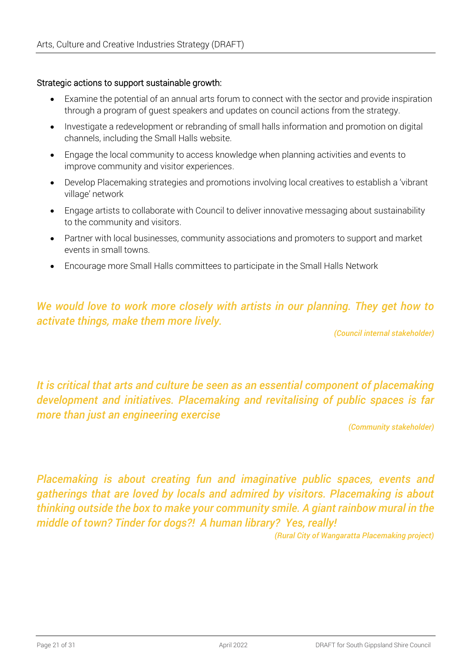#### Strategic actions to support sustainable growth:

- Examine the potential of an annual arts forum to connect with the sector and provide inspiration through a program of guest speakers and updates on council actions from the strategy.
- Investigate a redevelopment or rebranding of small halls information and promotion on digital channels, including the Small Halls website.
- Engage the local community to access knowledge when planning activities and events to improve community and visitor experiences.
- Develop Placemaking strategies and promotions involving local creatives to establish a 'vibrant village' network
- Engage artists to collaborate with Council to deliver innovative messaging about sustainability to the community and visitors.
- Partner with local businesses, community associations and promoters to support and market events in small towns.
- Encourage more Small Halls committees to participate in the Small Halls Network

### *We would love to work more closely with artists in our planning. They get how to activate things, make them more lively.*

*(Council internal stakeholder)*

*It is critical that arts and culture be seen as an essential component of placemaking development and initiatives. Placemaking and revitalising of public spaces is far more than just an engineering exercise*

*(Community stakeholder)*

*Placemaking is about creating fun and imaginative public spaces, events and gatherings that are loved by locals and admired by visitors. Placemaking is about thinking outside the box to make your community smile. A giant rainbow mural in the middle of town? Tinder for dogs?! A human library? Yes, really!*

*(Rural City of Wangaratta Placemaking project)*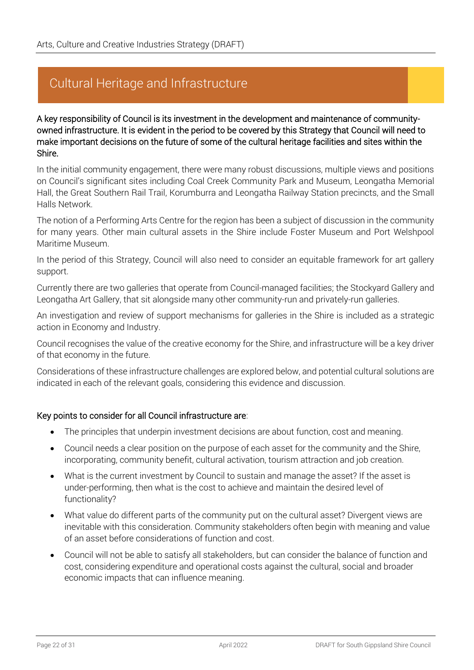### Cultural Heritage and Infrastructure

A key responsibility of Council is its investment in the development and maintenance of communityowned infrastructure. It is evident in the period to be covered by this Strategy that Council will need to make important decisions on the future of some of the cultural heritage facilities and sites within the Shire.

In the initial community engagement, there were many robust discussions, multiple views and positions on Council's significant sites including Coal Creek Community Park and Museum, Leongatha Memorial Hall, the Great Southern Rail Trail, Korumburra and Leongatha Railway Station precincts, and the Small Halls Network.

The notion of a Performing Arts Centre for the region has been a subject of discussion in the community for many years. Other main cultural assets in the Shire include Foster Museum and Port Welshpool Maritime Museum.

In the period of this Strategy, Council will also need to consider an equitable framework for art gallery support.

Currently there are two galleries that operate from Council-managed facilities; the Stockyard Gallery and Leongatha Art Gallery, that sit alongside many other community-run and privately-run galleries.

An investigation and review of support mechanisms for galleries in the Shire is included as a strategic action in Economy and Industry.

Council recognises the value of the creative economy for the Shire, and infrastructure will be a key driver of that economy in the future.

Considerations of these infrastructure challenges are explored below, and potential cultural solutions are indicated in each of the relevant goals, considering this evidence and discussion.

#### Key points to consider for all Council infrastructure are:

- The principles that underpin investment decisions are about function, cost and meaning.
- Council needs a clear position on the purpose of each asset for the community and the Shire, incorporating, community benefit, cultural activation, tourism attraction and job creation.
- What is the current investment by Council to sustain and manage the asset? If the asset is under-performing, then what is the cost to achieve and maintain the desired level of functionality?
- What value do different parts of the community put on the cultural asset? Divergent views are inevitable with this consideration. Community stakeholders often begin with meaning and value of an asset before considerations of function and cost.
- Council will not be able to satisfy all stakeholders, but can consider the balance of function and cost, considering expenditure and operational costs against the cultural, social and broader economic impacts that can influence meaning.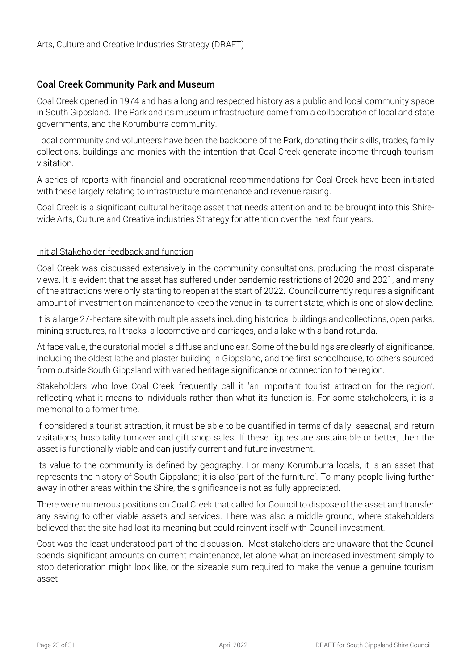#### Coal Creek Community Park and Museum

Coal Creek opened in 1974 and has a long and respected history as a public and local community space in South Gippsland. The Park and its museum infrastructure came from a collaboration of local and state governments, and the Korumburra community.

Local community and volunteers have been the backbone of the Park, donating their skills, trades, family collections, buildings and monies with the intention that Coal Creek generate income through tourism visitation.

A series of reports with financial and operational recommendations for Coal Creek have been initiated with these largely relating to infrastructure maintenance and revenue raising.

Coal Creek is a significant cultural heritage asset that needs attention and to be brought into this Shirewide Arts, Culture and Creative industries Strategy for attention over the next four years.

#### Initial Stakeholder feedback and function

Coal Creek was discussed extensively in the community consultations, producing the most disparate views. It is evident that the asset has suffered under pandemic restrictions of 2020 and 2021, and many of the attractions were only starting to reopen at the start of 2022. Council currently requires a significant amount of investment on maintenance to keep the venue in its current state, which is one of slow decline.

It is a large 27-hectare site with multiple assets including historical buildings and collections, open parks, mining structures, rail tracks, a locomotive and carriages, and a lake with a band rotunda.

At face value, the curatorial model is diffuse and unclear. Some of the buildings are clearly of significance, including the oldest lathe and plaster building in Gippsland, and the first schoolhouse, to others sourced from outside South Gippsland with varied heritage significance or connection to the region.

Stakeholders who love Coal Creek frequently call it 'an important tourist attraction for the region', reflecting what it means to individuals rather than what its function is. For some stakeholders, it is a memorial to a former time.

If considered a tourist attraction, it must be able to be quantified in terms of daily, seasonal, and return visitations, hospitality turnover and gift shop sales. If these figures are sustainable or better, then the asset is functionally viable and can justify current and future investment.

Its value to the community is defined by geography. For many Korumburra locals, it is an asset that represents the history of South Gippsland; it is also 'part of the furniture'. To many people living further away in other areas within the Shire, the significance is not as fully appreciated.

There were numerous positions on Coal Creek that called for Council to dispose of the asset and transfer any saving to other viable assets and services. There was also a middle ground, where stakeholders believed that the site had lost its meaning but could reinvent itself with Council investment.

Cost was the least understood part of the discussion. Most stakeholders are unaware that the Council spends significant amounts on current maintenance, let alone what an increased investment simply to stop deterioration might look like, or the sizeable sum required to make the venue a genuine tourism asset.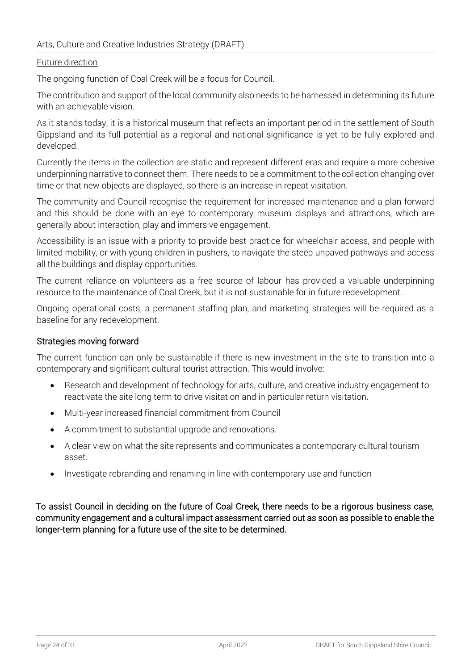#### Arts, Culture and Creative Industries Strategy (DRAFT)

#### Future direction

The ongoing function of Coal Creek will be a focus for Council.

The contribution and support of the local community also needs to be harnessed in determining its future with an achievable vision.

As it stands today, it is a historical museum that reflects an important period in the settlement of South Gippsland and its full potential as a regional and national significance is yet to be fully explored and developed.

Currently the items in the collection are static and represent different eras and require a more cohesive underpinning narrative to connect them. There needs to be a commitment to the collection changing over time or that new objects are displayed, so there is an increase in repeat visitation.

The community and Council recognise the requirement for increased maintenance and a plan forward and this should be done with an eye to contemporary museum displays and attractions, which are generally about interaction, play and immersive engagement.

Accessibility is an issue with a priority to provide best practice for wheelchair access, and people with limited mobility, or with young children in pushers, to navigate the steep unpaved pathways and access all the buildings and display opportunities.

The current reliance on volunteers as a free source of labour has provided a valuable underpinning resource to the maintenance of Coal Creek, but it is not sustainable for in future redevelopment.

Ongoing operational costs, a permanent staffing plan, and marketing strategies will be required as a baseline for any redevelopment.

#### Strategies moving forward

The current function can only be sustainable if there is new investment in the site to transition into a contemporary and significant cultural tourist attraction. This would involve:

- Research and development of technology for arts, culture, and creative industry engagement to reactivate the site long term to drive visitation and in particular return visitation.
- Multi-year increased financial commitment from Council
- A commitment to substantial upgrade and renovations.
- A clear view on what the site represents and communicates a contemporary cultural tourism asset.
- Investigate rebranding and renaming in line with contemporary use and function

To assist Council in deciding on the future of Coal Creek, there needs to be a rigorous business case, community engagement and a cultural impact assessment carried out as soon as possible to enable the longer-term planning for a future use of the site to be determined.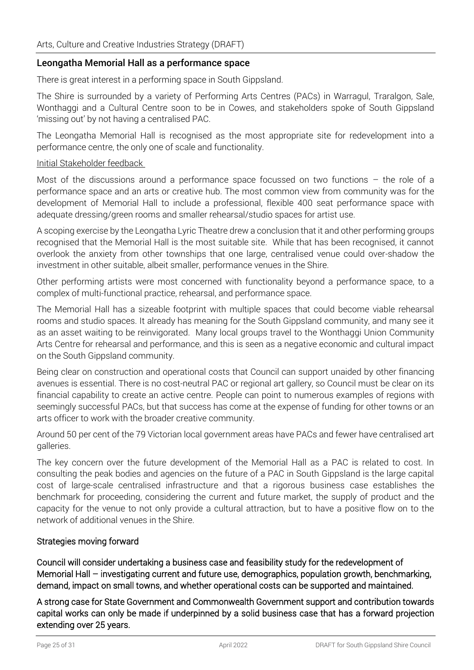#### Leongatha Memorial Hall as a performance space

There is great interest in a performing space in South Gippsland.

The Shire is surrounded by a variety of Performing Arts Centres (PACs) in Warragul, Traralgon, Sale, Wonthaggi and a Cultural Centre soon to be in Cowes, and stakeholders spoke of South Gippsland 'missing out' by not having a centralised PAC.

The Leongatha Memorial Hall is recognised as the most appropriate site for redevelopment into a performance centre, the only one of scale and functionality.

#### Initial Stakeholder feedback

Most of the discussions around a performance space focussed on two functions  $-$  the role of a performance space and an arts or creative hub. The most common view from community was for the development of Memorial Hall to include a professional, flexible 400 seat performance space with adequate dressing/green rooms and smaller rehearsal/studio spaces for artist use.

A scoping exercise by the Leongatha Lyric Theatre drew a conclusion that it and other performing groups recognised that the Memorial Hall is the most suitable site. While that has been recognised, it cannot overlook the anxiety from other townships that one large, centralised venue could over-shadow the investment in other suitable, albeit smaller, performance venues in the Shire.

Other performing artists were most concerned with functionality beyond a performance space, to a complex of multi-functional practice, rehearsal, and performance space.

The Memorial Hall has a sizeable footprint with multiple spaces that could become viable rehearsal rooms and studio spaces. It already has meaning for the South Gippsland community, and many see it as an asset waiting to be reinvigorated. Many local groups travel to the Wonthaggi Union Community Arts Centre for rehearsal and performance, and this is seen as a negative economic and cultural impact on the South Gippsland community.

Being clear on construction and operational costs that Council can support unaided by other financing avenues is essential. There is no cost-neutral PAC or regional art gallery, so Council must be clear on its financial capability to create an active centre. People can point to numerous examples of regions with seemingly successful PACs, but that success has come at the expense of funding for other towns or an arts officer to work with the broader creative community.

Around 50 per cent of the 79 Victorian local government areas have PACs and fewer have centralised art galleries.

The key concern over the future development of the Memorial Hall as a PAC is related to cost. In consulting the peak bodies and agencies on the future of a PAC in South Gippsland is the large capital cost of large-scale centralised infrastructure and that a rigorous business case establishes the benchmark for proceeding, considering the current and future market, the supply of product and the capacity for the venue to not only provide a cultural attraction, but to have a positive flow on to the network of additional venues in the Shire.

#### Strategies moving forward

Council will consider undertaking a business case and feasibility study for the redevelopment of Memorial Hall – investigating current and future use, demographics, population growth, benchmarking, demand, impact on small towns, and whether operational costs can be supported and maintained.

A strong case for State Government and Commonwealth Government support and contribution towards capital works can only be made if underpinned by a solid business case that has a forward projection extending over 25 years.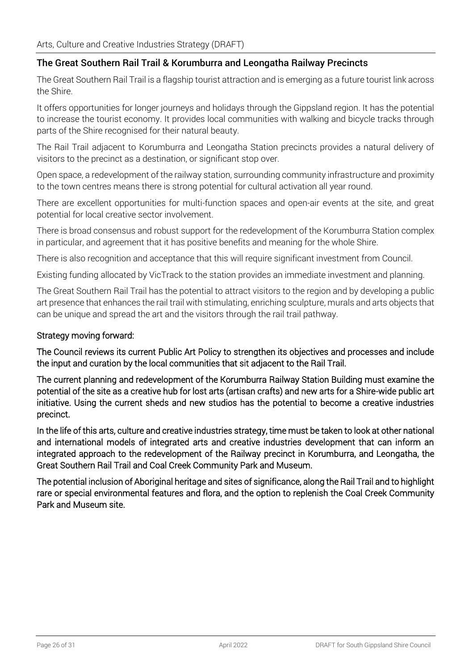#### The Great Southern Rail Trail & Korumburra and Leongatha Railway Precincts

The Great Southern Rail Trail is a flagship tourist attraction and is emerging as a future tourist link across the Shire.

It offers opportunities for longer journeys and holidays through the Gippsland region. It has the potential to increase the tourist economy. It provides local communities with walking and bicycle tracks through parts of the Shire recognised for their natural beauty.

The Rail Trail adjacent to Korumburra and Leongatha Station precincts provides a natural delivery of visitors to the precinct as a destination, or significant stop over.

Open space, a redevelopment of the railway station, surrounding community infrastructure and proximity to the town centres means there is strong potential for cultural activation all year round.

There are excellent opportunities for multi-function spaces and open-air events at the site, and great potential for local creative sector involvement.

There is broad consensus and robust support for the redevelopment of the Korumburra Station complex in particular, and agreement that it has positive benefits and meaning for the whole Shire.

There is also recognition and acceptance that this will require significant investment from Council.

Existing funding allocated by VicTrack to the station provides an immediate investment and planning.

The Great Southern Rail Trail has the potential to attract visitors to the region and by developing a public art presence that enhances the rail trail with stimulating, enriching sculpture, murals and arts objects that can be unique and spread the art and the visitors through the rail trail pathway.

#### Strategy moving forward:

The Council reviews its current Public Art Policy to strengthen its objectives and processes and include the input and curation by the local communities that sit adjacent to the Rail Trail.

The current planning and redevelopment of the Korumburra Railway Station Building must examine the potential of the site as a creative hub for lost arts (artisan crafts) and new arts for a Shire-wide public art initiative. Using the current sheds and new studios has the potential to become a creative industries precinct.

In the life of this arts, culture and creative industries strategy, time must be taken to look at other national and international models of integrated arts and creative industries development that can inform an integrated approach to the redevelopment of the Railway precinct in Korumburra, and Leongatha, the Great Southern Rail Trail and Coal Creek Community Park and Museum.

The potential inclusion of Aboriginal heritage and sites of significance, along the Rail Trail and to highlight rare or special environmental features and flora, and the option to replenish the Coal Creek Community Park and Museum site.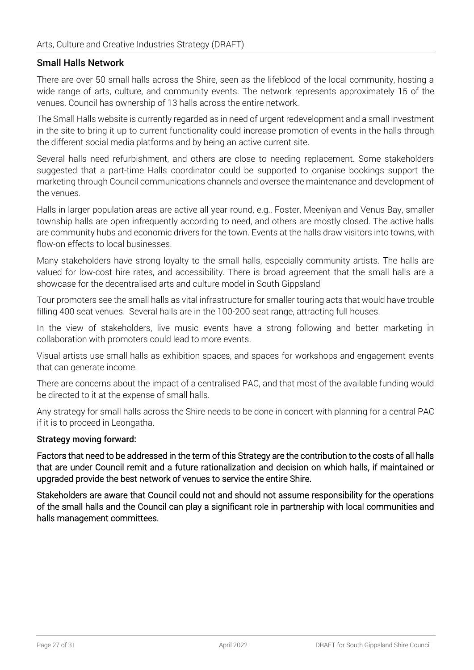#### Small Halls Network

There are over 50 small halls across the Shire, seen as the lifeblood of the local community, hosting a wide range of arts, culture, and community events. The network represents approximately 15 of the venues. Council has ownership of 13 halls across the entire network.

The Small Halls website is currently regarded as in need of urgent redevelopment and a small investment in the site to bring it up to current functionality could increase promotion of events in the halls through the different social media platforms and by being an active current site.

Several halls need refurbishment, and others are close to needing replacement. Some stakeholders suggested that a part-time Halls coordinator could be supported to organise bookings support the marketing through Council communications channels and oversee the maintenance and development of the venues.

Halls in larger population areas are active all year round, e.g., Foster, Meeniyan and Venus Bay, smaller township halls are open infrequently according to need, and others are mostly closed. The active halls are community hubs and economic drivers for the town. Events at the halls draw visitors into towns, with flow-on effects to local businesses.

Many stakeholders have strong loyalty to the small halls, especially community artists. The halls are valued for low-cost hire rates, and accessibility. There is broad agreement that the small halls are a showcase for the decentralised arts and culture model in South Gippsland

Tour promoters see the small halls as vital infrastructure for smaller touring acts that would have trouble filling 400 seat venues. Several halls are in the 100-200 seat range, attracting full houses.

In the view of stakeholders, live music events have a strong following and better marketing in collaboration with promoters could lead to more events.

Visual artists use small halls as exhibition spaces, and spaces for workshops and engagement events that can generate income.

There are concerns about the impact of a centralised PAC, and that most of the available funding would be directed to it at the expense of small halls.

Any strategy for small halls across the Shire needs to be done in concert with planning for a central PAC if it is to proceed in Leongatha.

#### Strategy moving forward:

Factors that need to be addressed in the term of this Strategy are the contribution to the costs of all halls that are under Council remit and a future rationalization and decision on which halls, if maintained or upgraded provide the best network of venues to service the entire Shire.

Stakeholders are aware that Council could not and should not assume responsibility for the operations of the small halls and the Council can play a significant role in partnership with local communities and halls management committees.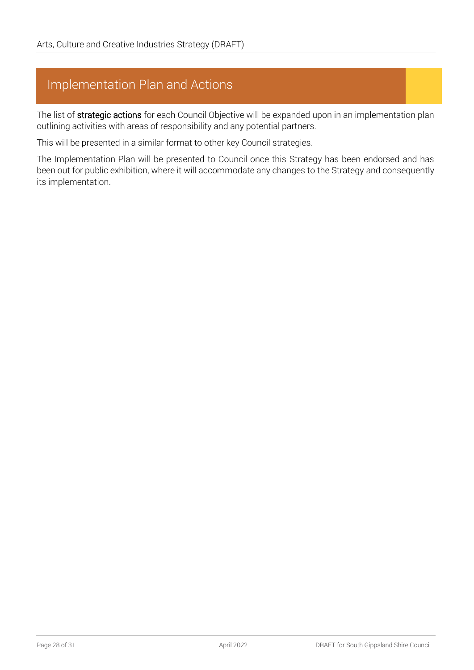### Implementation Plan and Actions

The list of strategic actions for each Council Objective will be expanded upon in an implementation plan outlining activities with areas of responsibility and any potential partners.

This will be presented in a similar format to other key Council strategies.

The Implementation Plan will be presented to Council once this Strategy has been endorsed and has been out for public exhibition, where it will accommodate any changes to the Strategy and consequently its implementation.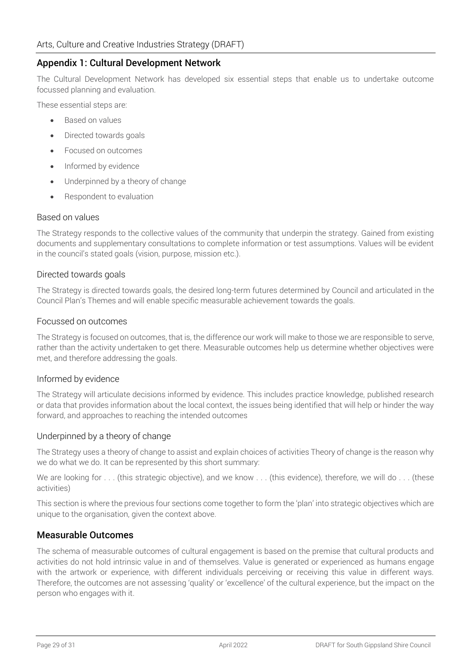#### Appendix 1: Cultural Development Network

The Cultural Development Network has developed six essential steps that enable us to undertake outcome focussed planning and evaluation.

These essential steps are:

- Based on values
- Directed towards goals
- Focused on outcomes
- Informed by evidence
- Underpinned by a theory of change
- Respondent to evaluation

#### Based on values

The Strategy responds to the collective values of the community that underpin the strategy. Gained from existing documents and supplementary consultations to complete information or test assumptions. Values will be evident in the council's stated goals (vision, purpose, mission etc.).

#### Directed towards goals

The Strategy is directed towards goals, the desired long-term futures determined by Council and articulated in the Council Plan's Themes and will enable specific measurable achievement towards the goals.

#### Focussed on outcomes

The Strategy is focused on outcomes, that is, the difference our work will make to those we are responsible to serve, rather than the activity undertaken to get there. Measurable outcomes help us determine whether objectives were met, and therefore addressing the goals.

#### Informed by evidence

The Strategy will articulate decisions informed by evidence. This includes practice knowledge, published research or data that provides information about the local context, the issues being identified that will help or hinder the way forward, and approaches to reaching the intended outcomes

#### Underpinned by a theory of change

The Strategy uses a theory of change to assist and explain choices of activities Theory of change is the reason why we do what we do. It can be represented by this short summary:

We are looking for . . . (this strategic objective), and we know . . . (this evidence), therefore, we will do . . . (these activities)

This section is where the previous four sections come together to form the 'plan' into strategic objectives which are unique to the organisation, given the context above.

#### Measurable Outcomes

The schema of measurable outcomes of cultural engagement is based on the premise that cultural products and activities do not hold intrinsic value in and of themselves. Value is generated or experienced as humans engage with the artwork or experience, with different individuals perceiving or receiving this value in different ways. Therefore, the outcomes are not assessing 'quality' or 'excellence' of the cultural experience, but the impact on the person who engages with it.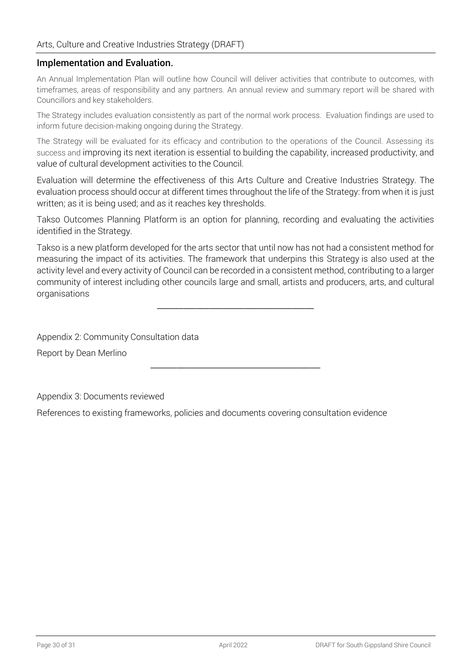#### Implementation and Evaluation.

An Annual Implementation Plan will outline how Council will deliver activities that contribute to outcomes, with timeframes, areas of responsibility and any partners. An annual review and summary report will be shared with Councillors and key stakeholders.

The Strategy includes evaluation consistently as part of the normal work process. Evaluation findings are used to inform future decision-making ongoing during the Strategy.

The Strategy will be evaluated for its efficacy and contribution to the operations of the Council. Assessing its success and improving its next iteration is essential to building the capability, increased productivity, and value of cultural development activities to the Council.

Evaluation will determine the effectiveness of this Arts Culture and Creative Industries Strategy. The evaluation process should occur at different times throughout the life of the Strategy: from when it is just written; as it is being used; and as it reaches key thresholds.

Takso Outcomes Planning Platform is an option for planning, recording and evaluating the activities identified in the Strategy.

Takso is a new platform developed for the arts sector that until now has not had a consistent method for measuring the impact of its activities. The framework that underpins this Strategy is also used at the activity level and every activity of Council can be recorded in a consistent method, contributing to a larger community of interest including other councils large and small, artists and producers, arts, and cultural organisations

\_\_\_\_\_\_\_\_\_\_\_\_\_\_\_\_\_\_\_\_\_\_\_\_\_\_\_\_\_\_\_\_\_\_\_\_

\_\_\_\_\_\_\_\_\_\_\_\_\_\_\_\_\_\_\_\_\_\_\_\_\_\_\_\_\_\_\_\_\_\_\_\_\_\_\_

Appendix 2: Community Consultation data

Report by Dean Merlino

Appendix 3: Documents reviewed

References to existing frameworks, policies and documents covering consultation evidence